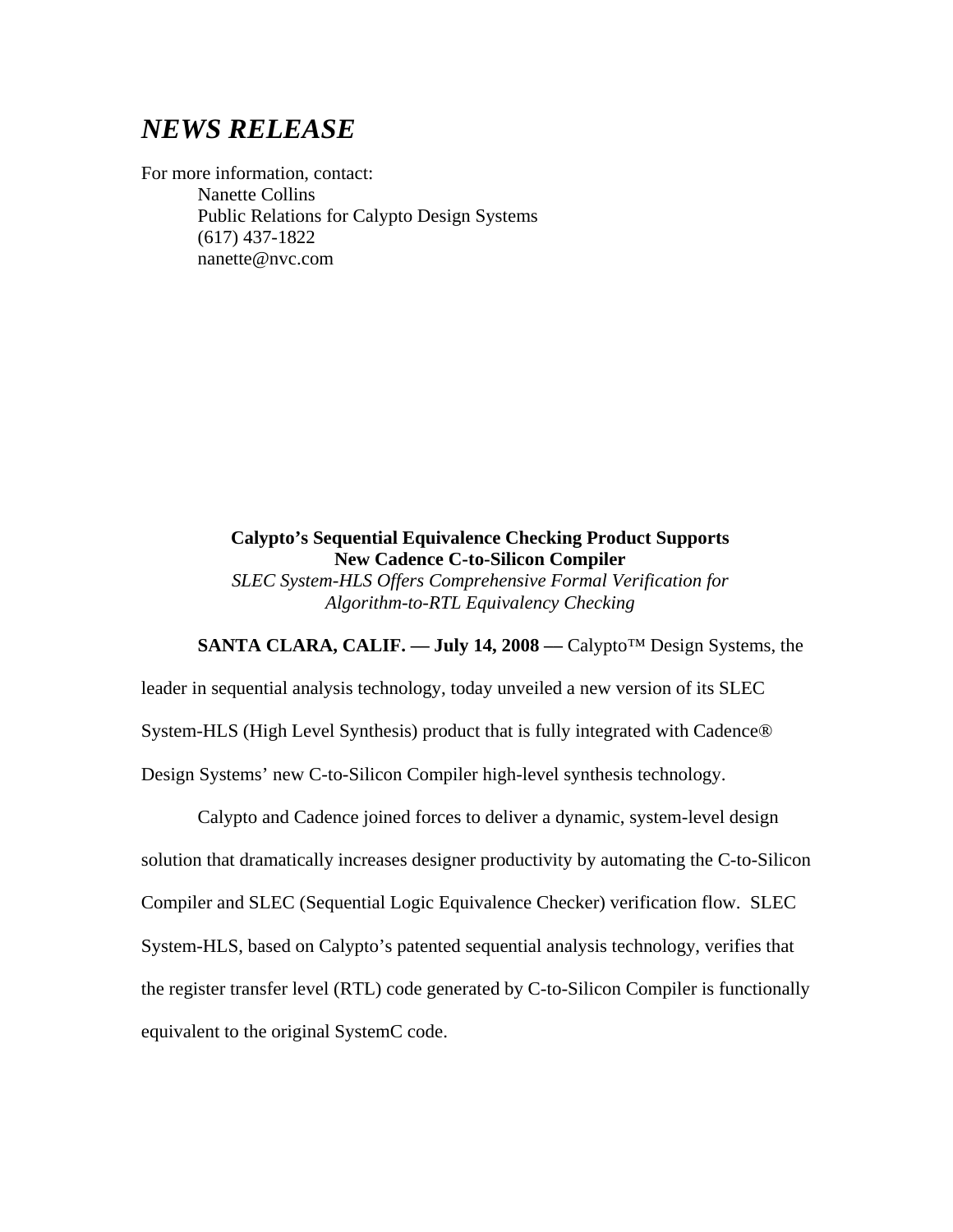## *NEWS RELEASE*

For more information, contact: Nanette Collins Public Relations for Calypto Design Systems (617) 437-1822 nanette@nvc.com

> **Calypto's Sequential Equivalence Checking Product Supports New Cadence C-to-Silicon Compiler**  *SLEC System-HLS Offers Comprehensive Formal Verification for Algorithm-to-RTL Equivalency Checking*

**SANTA CLARA, CALIF. –– July 14, 2008 ––** Calypto™ Design Systems, the

leader in sequential analysis technology, today unveiled a new version of its SLEC System-HLS (High Level Synthesis) product that is fully integrated with Cadence® Design Systems' new C-to-Silicon Compiler high-level synthesis technology.

Calypto and Cadence joined forces to deliver a dynamic, system-level design solution that dramatically increases designer productivity by automating the C-to-Silicon Compiler and SLEC (Sequential Logic Equivalence Checker) verification flow. SLEC System-HLS, based on Calypto's patented sequential analysis technology, verifies that the register transfer level (RTL) code generated by C-to-Silicon Compiler is functionally equivalent to the original SystemC code.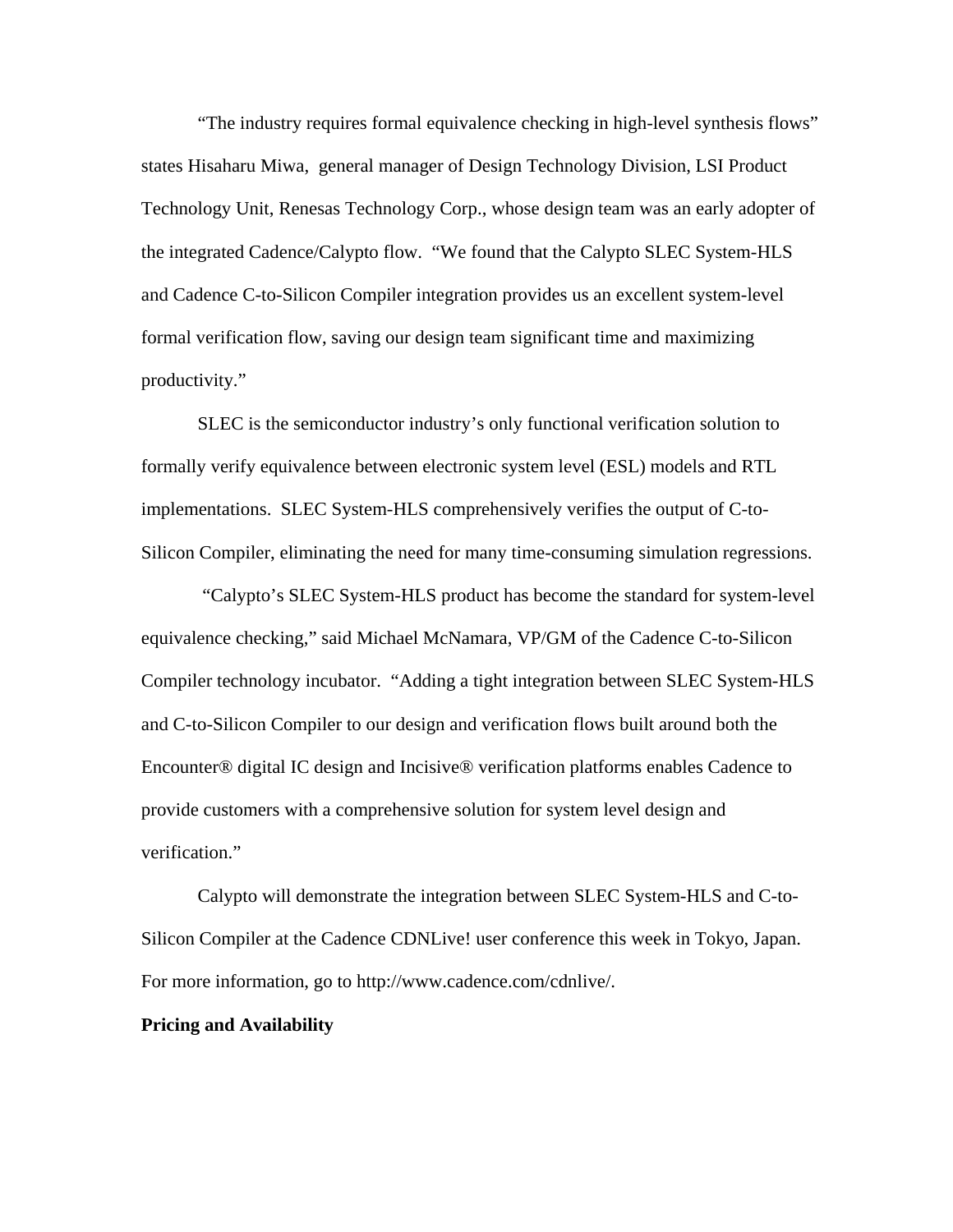"The industry requires formal equivalence checking in high-level synthesis flows" states Hisaharu Miwa, general manager of Design Technology Division, LSI Product Technology Unit, Renesas Technology Corp., whose design team was an early adopter of the integrated Cadence/Calypto flow. "We found that the Calypto SLEC System-HLS and Cadence C-to-Silicon Compiler integration provides us an excellent system-level formal verification flow, saving our design team significant time and maximizing productivity."

SLEC is the semiconductor industry's only functional verification solution to formally verify equivalence between electronic system level (ESL) models and RTL implementations. SLEC System-HLS comprehensively verifies the output of C-to-Silicon Compiler, eliminating the need for many time-consuming simulation regressions.

"Calypto's SLEC System-HLS product has become the standard for system-level equivalence checking," said Michael McNamara, VP/GM of the Cadence C-to-Silicon Compiler technology incubator. "Adding a tight integration between SLEC System-HLS and C-to-Silicon Compiler to our design and verification flows built around both the Encounter® digital IC design and Incisive® verification platforms enables Cadence to provide customers with a comprehensive solution for system level design and verification."

Calypto will demonstrate the integration between SLEC System-HLS and C-to-Silicon Compiler at the Cadence CDNLive! user conference this week in Tokyo, Japan. For more information, go to http://www.cadence.com/cdnlive/.

## **Pricing and Availability**